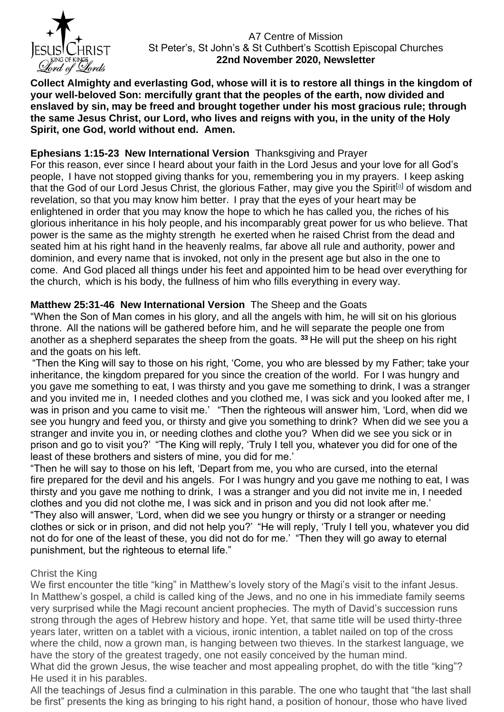

**Collect Almighty and everlasting God, whose will it is to restore all things in the kingdom of your well-beloved Son: mercifully grant that the peoples of the earth, now divided and enslaved by sin, may be freed and brought together under his most gracious rule; through the same Jesus Christ, our Lord, who lives and reigns with you, in the unity of the Holy Spirit, one God, world without end. Amen.**

# **Ephesians 1:15-23 New International Version** Thanksgiving and Prayer

For this reason, ever since I heard about your faith in the Lord Jesus and your love for all God's people, I have not stopped giving thanks for you, remembering you in my prayers. I keep asking that the God of our Lord Jesus Christ, the glorious Father, may give you the Spirit<sup>[\[a\]](https://www.biblegateway.com/passage/?search=Ephesians+1%3A+15-23&version=NIV#fen-NIV-29224a)</sup> of wisdom and revelation, so that you may know him better. I pray that the eyes of your heart may be enlightened in order that you may know the hope to which he has called you, the riches of his glorious inheritance in his holy people, and his incomparably great power for us who believe. That power is the same as the mighty strength he exerted when he raised Christ from the dead and seated him at his right hand in the heavenly realms, far above all rule and authority, power and dominion, and every name that is invoked, not only in the present age but also in the one to come. And God placed all things under his feet and appointed him to be head over everything for the church, which is his body, the fullness of him who fills everything in every way.

# **Matthew 25:31-46 New International Version** The Sheep and the Goats

"When the Son of Man comes in his glory, and all the angels with him, he will sit on his glorious throne. All the nations will be gathered before him, and he will separate the people one from another as a shepherd separates the sheep from the goats. **<sup>33</sup>** He will put the sheep on his right and the goats on his left.

"Then the King will say to those on his right, 'Come, you who are blessed by my Father; take your inheritance, the kingdom prepared for you since the creation of the world. For I was hungry and you gave me something to eat, I was thirsty and you gave me something to drink, I was a stranger and you invited me in, I needed clothes and you clothed me, I was sick and you looked after me, I was in prison and you came to visit me.' "Then the righteous will answer him, 'Lord, when did we see you hungry and feed you, or thirsty and give you something to drink? When did we see you a stranger and invite you in, or needing clothes and clothe you? When did we see you sick or in prison and go to visit you?' "The King will reply, 'Truly I tell you, whatever you did for one of the least of these brothers and sisters of mine, you did for me.'

"Then he will say to those on his left, 'Depart from me, you who are cursed, into the eternal fire prepared for the devil and his angels. For I was hungry and you gave me nothing to eat, I was thirsty and you gave me nothing to drink, I was a stranger and you did not invite me in, I needed clothes and you did not clothe me, I was sick and in prison and you did not look after me.' "They also will answer, 'Lord, when did we see you hungry or thirsty or a stranger or needing clothes or sick or in prison, and did not help you?' "He will reply, 'Truly I tell you, whatever you did not do for one of the least of these, you did not do for me.' "Then they will go away to eternal punishment, but the righteous to eternal life."

### Christ the King

We first encounter the title "king" in Matthew's lovely story of the Magi's visit to the infant Jesus. In Matthew's gospel, a child is called king of the Jews, and no one in his immediate family seems very surprised while the Magi recount ancient prophecies. The myth of David's succession runs strong through the ages of Hebrew history and hope. Yet, that same title will be used thirty-three years later, written on a tablet with a vicious, ironic intention, a tablet nailed on top of the cross where the child, now a grown man, is hanging between two thieves. In the starkest language, we have the story of the greatest tragedy, one not easily conceived by the human mind.

What did the grown Jesus, the wise teacher and most appealing prophet, do with the title "king"? He used it in his parables.

All the teachings of Jesus find a culmination in this parable. The one who taught that "the last shall be first" presents the king as bringing to his right hand, a position of honour, those who have lived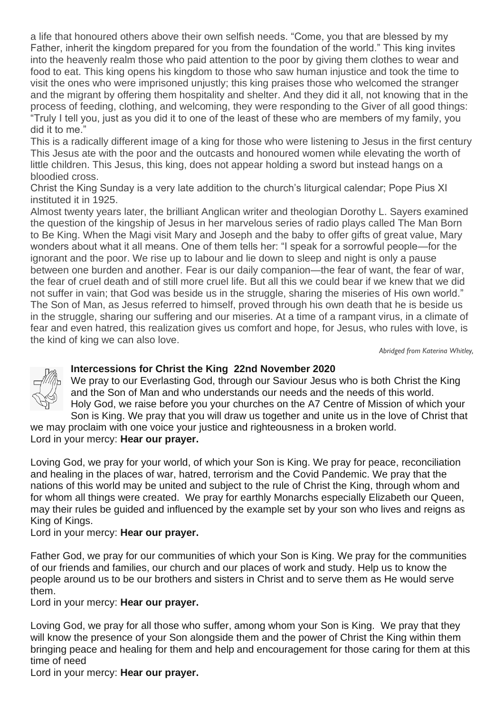a life that honoured others above their own selfish needs. "Come, you that are blessed by my Father, inherit the kingdom prepared for you from the foundation of the world." This king invites into the heavenly realm those who paid attention to the poor by giving them clothes to wear and food to eat. This king opens his kingdom to those who saw human injustice and took the time to visit the ones who were imprisoned unjustly; this king praises those who welcomed the stranger and the migrant by offering them hospitality and shelter. And they did it all, not knowing that in the process of feeding, clothing, and welcoming, they were responding to the Giver of all good things: "Truly I tell you, just as you did it to one of the least of these who are members of my family, you did it to me"

This is a radically different image of a king for those who were listening to Jesus in the first century This Jesus ate with the poor and the outcasts and honoured women while elevating the worth of little children. This Jesus, this king, does not appear holding a sword but instead hangs on a bloodied cross.

Christ the King Sunday is a very late addition to the church's liturgical calendar; Pope Pius XI instituted it in 1925.

Almost twenty years later, the brilliant Anglican writer and theologian Dorothy L. Sayers examined the question of the kingship of Jesus in her marvelous series of radio plays called The Man Born to Be King. When the Magi visit Mary and Joseph and the baby to offer gifts of great value, Mary wonders about what it all means. One of them tells her: "I speak for a sorrowful people—for the ignorant and the poor. We rise up to labour and lie down to sleep and night is only a pause between one burden and another. Fear is our daily companion—the fear of want, the fear of war, the fear of cruel death and of still more cruel life. But all this we could bear if we knew that we did not suffer in vain; that God was beside us in the struggle, sharing the miseries of His own world." The Son of Man, as Jesus referred to himself, proved through his own death that he is beside us in the struggle, sharing our suffering and our miseries. At a time of a rampant virus, in a climate of fear and even hatred, this realization gives us comfort and hope, for Jesus, who rules with love, is the kind of king we can also love.

*Abridged from Katerina Whitley,*



#### **Intercessions for Christ the King 22nd November 2020**

We pray to our Everlasting God, through our Saviour Jesus who is both Christ the King and the Son of Man and who understands our needs and the needs of this world. Holy God, we raise before you your churches on the A7 Centre of Mission of which your Son is King. We pray that you will draw us together and unite us in the love of Christ that

we may proclaim with one voice your justice and righteousness in a broken world. Lord in your mercy: **Hear our prayer.**

Loving God, we pray for your world, of which your Son is King. We pray for peace, reconciliation and healing in the places of war, hatred, terrorism and the Covid Pandemic. We pray that the nations of this world may be united and subject to the rule of Christ the King, through whom and for whom all things were created. We pray for earthly Monarchs especially Elizabeth our Queen, may their rules be guided and influenced by the example set by your son who lives and reigns as King of Kings.

Lord in your mercy: **Hear our prayer.**

Father God, we pray for our communities of which your Son is King. We pray for the communities of our friends and families, our church and our places of work and study. Help us to know the people around us to be our brothers and sisters in Christ and to serve them as He would serve them.

Lord in your mercy: **Hear our prayer.**

Loving God, we pray for all those who suffer, among whom your Son is King. We pray that they will know the presence of your Son alongside them and the power of Christ the King within them bringing peace and healing for them and help and encouragement for those caring for them at this time of need

Lord in your mercy: **Hear our prayer.**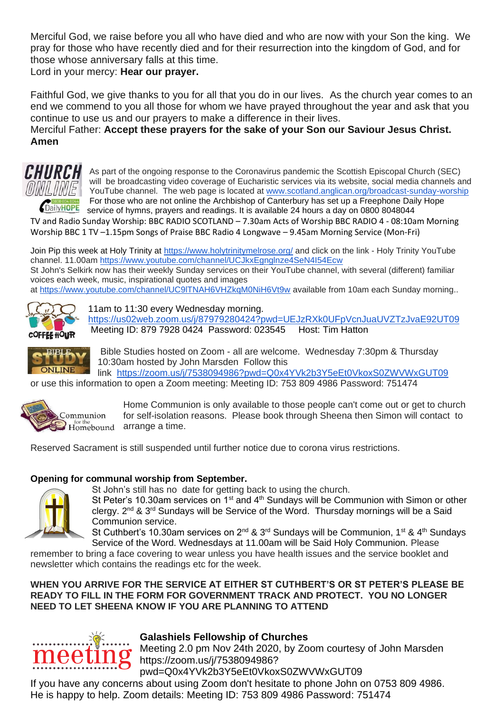Merciful God, we raise before you all who have died and who are now with your Son the king. We pray for those who have recently died and for their resurrection into the kingdom of God, and for those whose anniversary falls at this time.

Lord in your mercy: **Hear our prayer.**

Faithful God, we give thanks to you for all that you do in our lives. As the church year comes to an end we commend to you all those for whom we have prayed throughout the year and ask that you continue to use us and our prayers to make a difference in their lives.

Merciful Father: **Accept these prayers for the sake of your Son our Saviour Jesus Christ. Amen**



As part of the ongoing response to the Coronavirus pandemic the Scottish Episcopal Church (SEC) will be broadcasting video coverage of Eucharistic services via its website, social media channels and YouTube channel. The web page is located at [www.scotland.anglican.org/broadcast-sunday-worship](http://www.scotland.anglican.org/broadcast-sunday-worship) For those who are not online the Archbishop of Canterbury has set up a Freephone Daily Hope Service of hymns, prayers and readings. It is available 24 hours a day on 0800 8048044

TV and Radio Sunday Worship: BBC RADIO SCOTLAND – 7.30am Acts of Worship BBC RADIO 4 - 08:10am Morning Worship BBC 1 TV –1.15pm Songs of Praise BBC Radio 4 Longwave – 9.45am Morning Service (Mon-Fri)

Join Pip this week at Holy Trinity at<https://www.holytrinitymelrose.org/> and click on the link - Holy Trinity YouTube channel. 11.00am<https://www.youtube.com/channel/UCJkxEgnglnze4SeN4I54Ecw> St John's Selkirk now has their weekly Sunday services on their YouTube channel, with several (different) familiar voices each week, music, inspirational quotes and images at <https://www.youtube.com/channel/UC9lTNAH6VHZkqM0NiH6Vt9w> available from 10am each Sunday morning..



11am to 11:30 every Wednesday morning. <https://us02web.zoom.us/j/87979280424?pwd=UEJzRXk0UFpVcnJuaUVZTzJvaE92UT09> Meeting ID: 879 7928 0424 Password: 023545 Host: Tim Hatton



Bible Studies hosted on Zoom - all are welcome. Wednesday 7:30pm & Thursday 10:30am hosted by John Marsden Follow this link <https://zoom.us/j/7538094986?pwd=Q0x4YVk2b3Y5eEt0VkoxS0ZWVWxGUT09>

or use this information to open a Zoom meeting: Meeting ID: 753 809 4986 Password: 751474



Home Communion is only available to those people can't come out or get to church for self-isolation reasons. Please book through Sheena then Simon will contact to  $\sum_{\text{for the}}$  Homebound arrange a time.

Reserved Sacrament is still suspended until further notice due to corona virus restrictions.

#### **Opening for communal worship from September[.](https://l.facebook.com/l.php?u=https%3A%2F%2Fwww.strava.com%2Factivities%2F4115144364%3Ffbclid%3DIwAR2dp0V7bZw56KZNe7vvvP6qvLImkA5BNccKKFT60WPFMxOmexhBDMqE1hk&h=AT06T4e_7h6ZApB1oGWjk7pLBQ-K3FrXkDzPu-3dIUW9Yq2uWgVHvA1iH9D2G0qHAEzsVf6iZSPLYjt6IIPAEnVxcjXeHb_PKNtCimTKWYec9eSyBG-fhPgCt_GQiLPKta1r&__tn__=H-R&c%5b0%5d=AT0geC5tx4HBtnuUp3gCeEzYdFpe7hKghWt3IPt71OMD54KpTLRZ2BoA0MuMeWwHlfudxO2cBtPJ9so98nMDTcbxTJGAgh-8HbIfpS2DmXnwskBFa3Rkq0KNMefG4EVpFLNqSFOwfcU5q9TBFeRBz7HaUNslyrmv_jq4-z_aqyrBursxAXDT8wGoXyLBHCyTB8npD5HEm393dr1yc9xU8_Tzaw)**



St John's still has no date for getting back to using the church.

St Peter's 10.30am services on  $1<sup>st</sup>$  and  $4<sup>th</sup>$  Sundays will be Communion with Simon or other clergy. 2<sup>nd</sup> & 3<sup>rd</sup> Sundays will be Service of the Word. Thursday mornings will be a Said Communion service.

St Cuthbert's 10.30am services on  $2^{nd}$  &  $3^{rd}$  Sundays will be Communion, 1<sup>st</sup> & 4<sup>th</sup> Sundays Service of the Word. Wednesdays at 11.00am will be Said Holy Communion. Please

remember to bring a face covering to wear unless you have health issues and the service booklet and newsletter which contains the readings etc for the week.

**WHEN YOU ARRIVE FOR THE SERVICE AT EITHER ST CUTHBERT'S OR ST PETER'S PLEASE BE READY TO FILL IN THE FORM FOR GOVERNMENT TRACK AND PROTECT. YOU NO LONGER NEED TO LET SHEENA KNOW IF YOU ARE PLANNING TO ATTEND**



### **Galashiels Fellowship of Churches**

Meeting 2.0 pm Nov 24th 2020, by Zoom courtesy of John Marsden https://zoom.us/j/7538094986?

pwd=Q0x4YVk2b3Y5eEt0VkoxS0ZWVWxGUT09

If you have any concerns about using Zoom don't hesitate to phone John on 0753 809 4986. He is happy to help. Zoom details: Meeting ID: 753 809 4986 Password: 751474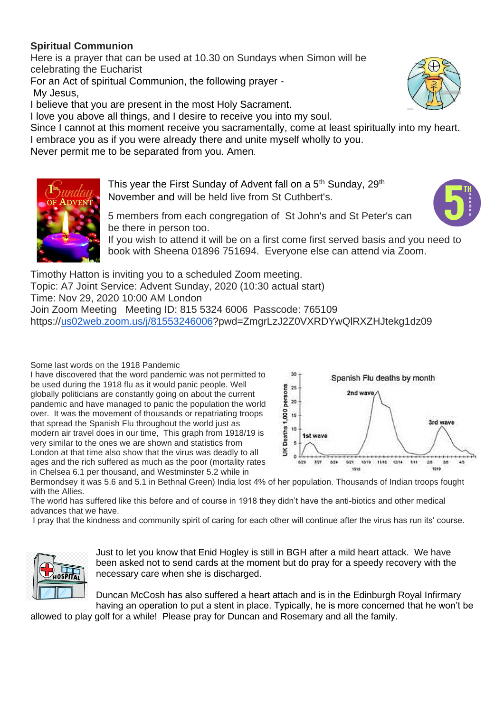# **Spiritual Communion**

Here is a prayer that can be used at 10.30 on Sundays when Simon will be celebrating the Eucharist

For an Act of spiritual Communion, the following prayer - My Jesus,

I believe that you are present in the most Holy Sacrament.

I love you above all things, and I desire to receive you into my soul.

Since I cannot at this moment receive you sacramentally, come at least spiritually into my heart.

I embrace you as if you were already there and unite myself wholly to you.

Never permit me to be separated from you. Amen.

This year the First Sunday of Advent fall on a 5<sup>th</sup> Sunday, 29<sup>th</sup> November and will be held live from St Cuthbert's.



5 members from each congregation of St John's and St Peter's can be there in person too.

If you wish to attend it will be on a first come first served basis and you need to book with Sheena 01896 751694. Everyone else can attend via Zoom.

Timothy Hatton is inviting you to a scheduled Zoom meeting. Topic: A7 Joint Service: Advent Sunday, 2020 (10:30 actual start) Time: Nov 29, 2020 10:00 AM London Join Zoom Meeting Meeting ID: 815 5324 6006 Passcode: 765109 https:/[/us02web.zoom.us/j/81553246006?](http://us02web.zoom.us/j/81553246006)pwd=ZmgrLzJ2Z0VXRDYwQlRXZHJtekg1dz09

Some last words on the 1918 Pandemic

I have discovered that the word pandemic was not permitted to be used during the 1918 flu as it would panic people. Well globally politicians are constantly going on about the current pandemic and have managed to panic the population the world over. It was the movement of thousands or repatriating troops that spread the Spanish Flu throughout the world just as modern air travel does in our time, This graph from 1918/19 is very similar to the ones we are shown and statistics from London at that time also show that the virus was deadly to all ages and the rich suffered as much as the poor (mortality rates in Chelsea 6.1 per thousand, and Westminster 5.2 while in



Bermondsey it was 5.6 and 5.1 in Bethnal Green) India lost 4% of her population. Thousands of Indian troops fought with the Allies.

The world has suffered like this before and of course in 1918 they didn't have the anti-biotics and other medical advances that we have.

I pray that the kindness and community spirit of caring for each other will continue after the virus has run its' course.



Just to let you know that Enid Hogley is still in BGH after a mild heart attack. We have been asked not to send cards at the moment but do pray for a speedy recovery with the necessary care when she is discharged.

Duncan McCosh has also suffered a heart attach and is in the Edinburgh Royal Infirmary having an operation to put a stent in place. Typically, he is more concerned that he won't be

allowed to play golf for a while! Please pray for Duncan and Rosemary and all the family.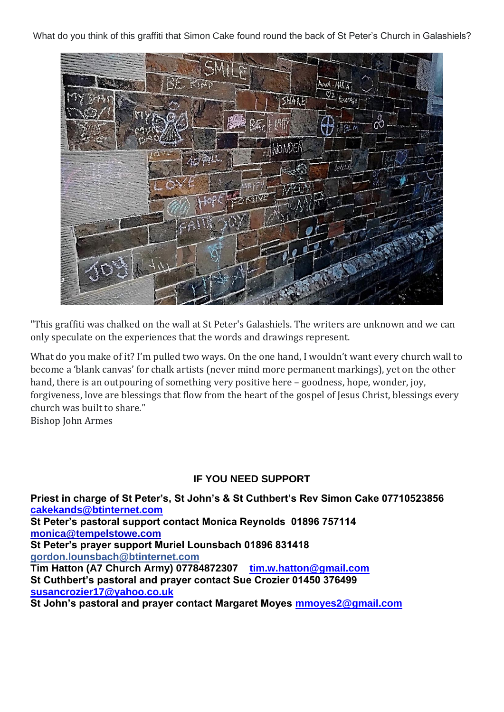What do you think of this graffiti that Simon Cake found round the back of St Peter's Church in Galashiels[?](https://www.facebook.com/bishopedin/photos/a.134899141516344/180749620264629/?__cft__%5b0%5d=AZXNWz-Hb3VQqSMkIEAOu46Y5fUbjb-Lf7zY7V_iYyjAhB0fQAx_J9rHYsUzvCiiNleKMm4w13OY6ojpsYcYluhlR4e68b1yhEAL3NyzRjmaD-HLhyP73Gw5inY-2GNcnTguv3YqJjPsqAUY6diG88xVxqaiP6XiIQqYG9UDkHiciflkb2XgfKmMJHZqlFSht2N_ybrY8L0QEiKcsNl9VSwH&__tn__=EH-y-R)



"This graffiti was chalked on the wall at St Peter's Galashiels. The writers are unknown and we can only speculate on the experiences that the words and drawings represent.

What do you make of it? I'm pulled two ways. On the one hand, I wouldn't want every church wall to become a 'blank canvas' for chalk artists (never mind more permanent markings), yet on the other hand, there is an outpouring of something very positive here - goodness, hope, wonder, joy, forgiveness, love are blessings that flow from the heart of the gospel of Jesus Christ, blessings every church was built to share."

Bishop John Armes

### **IF YOU NEED SUPPORT**

**Priest in charge of St Peter's, St John's & St Cuthbert's Rev Simon Cake 07710523856 [cakekands@btinternet.com](mailto:cakekands@btinternet.com) St Peter's pastoral support contact Monica Reynolds 01896 757114 [monica@tempelstowe.com](mailto:monica@tempelstowe.com) St Peter's prayer support Muriel Lounsbach 01896 831418 gordon.lounsbach@btinternet.com Tim Hatton (A7 Church Army) 07784872307 [tim.w.hatton@gmail.com](mailto:tim.w.hutton@gmail.com) St Cuthbert's pastoral and prayer contact Sue Crozier 01450 376499 [susancrozier17@yahoo.co.uk](mailto:susancrozier17@yahoo.co.uk) St John's pastoral and prayer contact Margaret Moyes [mmoyes2@gmail.com](mailto:mmoyes2@gmail.com)**